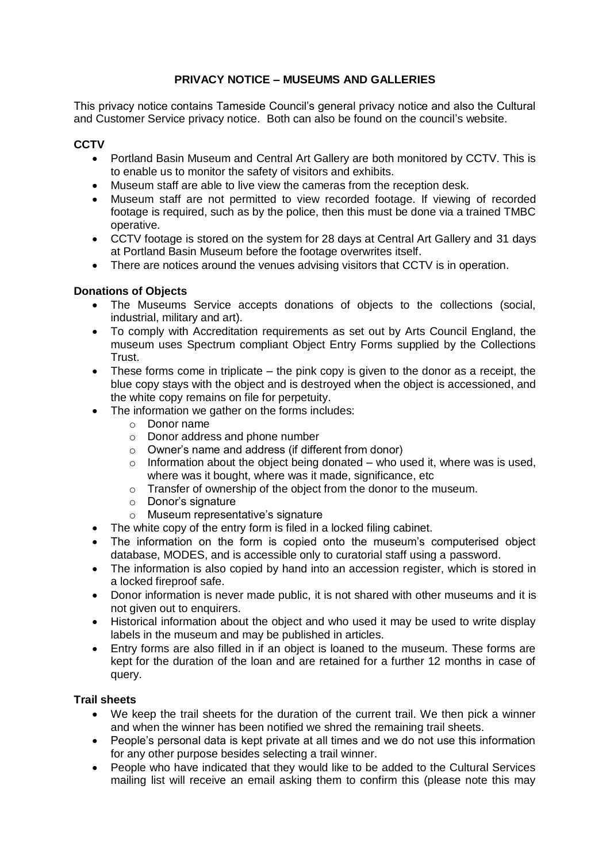# **PRIVACY NOTICE – MUSEUMS AND GALLERIES**

This privacy notice contains Tameside Council's general privacy notice and also the Cultural and Customer Service privacy notice. Both can also be found on the council's website.

#### **CCTV**

- Portland Basin Museum and Central Art Gallery are both monitored by CCTV. This is to enable us to monitor the safety of visitors and exhibits.
- Museum staff are able to live view the cameras from the reception desk.
- Museum staff are not permitted to view recorded footage. If viewing of recorded footage is required, such as by the police, then this must be done via a trained TMBC operative.
- CCTV footage is stored on the system for 28 days at Central Art Gallery and 31 days at Portland Basin Museum before the footage overwrites itself.
- There are notices around the venues advising visitors that CCTV is in operation.

## **Donations of Objects**

- The Museums Service accepts donations of objects to the collections (social, industrial, military and art).
- To comply with Accreditation requirements as set out by Arts Council England, the museum uses Spectrum compliant Object Entry Forms supplied by the Collections Trust.
- These forms come in triplicate the pink copy is given to the donor as a receipt, the blue copy stays with the object and is destroyed when the object is accessioned, and the white copy remains on file for perpetuity.
- The information we gather on the forms includes:
	- o Donor name
	- o Donor address and phone number
	- o Owner's name and address (if different from donor)
	- $\circ$  Information about the object being donated who used it, where was is used, where was it bought, where was it made, significance, etc
	- o Transfer of ownership of the object from the donor to the museum.
	- o Donor's signature
	- o Museum representative's signature
- The white copy of the entry form is filed in a locked filing cabinet.
- The information on the form is copied onto the museum's computerised object database, MODES, and is accessible only to curatorial staff using a password.
- The information is also copied by hand into an accession register, which is stored in a locked fireproof safe.
- Donor information is never made public, it is not shared with other museums and it is not given out to enquirers.
- Historical information about the object and who used it may be used to write display labels in the museum and may be published in articles.
- Entry forms are also filled in if an object is loaned to the museum. These forms are kept for the duration of the loan and are retained for a further 12 months in case of query.

#### **Trail sheets**

- We keep the trail sheets for the duration of the current trail. We then pick a winner and when the winner has been notified we shred the remaining trail sheets.
- People's personal data is kept private at all times and we do not use this information for any other purpose besides selecting a trail winner.
- People who have indicated that they would like to be added to the Cultural Services mailing list will receive an email asking them to confirm this (please note this may